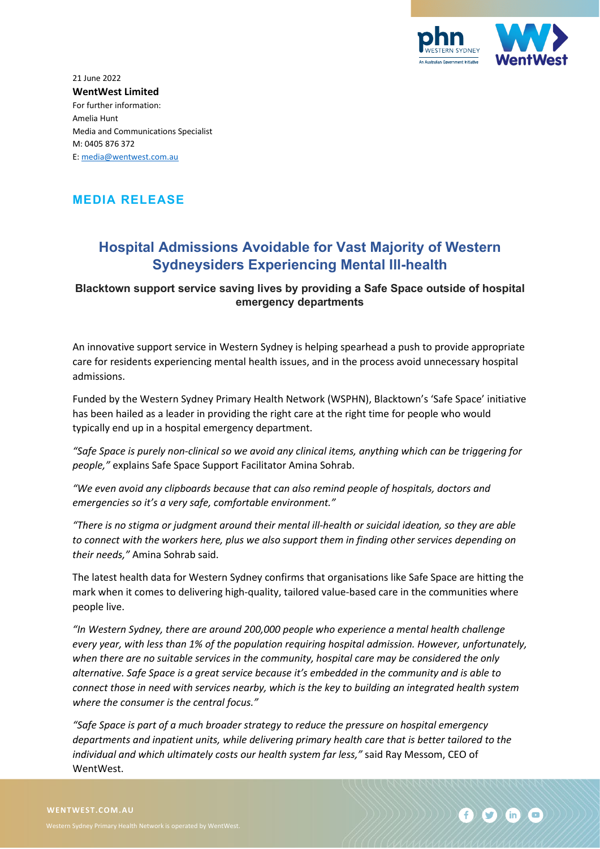

21 June 2022 **WentWest Limited** For further information: Amelia Hunt Media and Communications Specialist M: 0405 876 372 E: [media@wentwest.com.au](mailto:media@wentwest.com.au)

## **MEDIA RELEASE**

## **Hospital Admissions Avoidable for Vast Majority of Western Sydneysiders Experiencing Mental Ill-health**

## **Blacktown support service saving lives by providing a Safe Space outside of hospital emergency departments**

An innovative support service in Western Sydney is helping spearhead a push to provide appropriate care for residents experiencing mental health issues, and in the process avoid unnecessary hospital admissions.

Funded by the Western Sydney Primary Health Network (WSPHN), Blacktown's 'Safe Space' initiative has been hailed as a leader in providing the right care at the right time for people who would typically end up in a hospital emergency department.

*"Safe Space is purely non-clinical so we avoid any clinical items, anything which can be triggering for people,"* explains Safe Space Support Facilitator Amina Sohrab.

*"We even avoid any clipboards because that can also remind people of hospitals, doctors and emergencies so it's a very safe, comfortable environment."* 

*"There is no stigma or judgment around their mental ill-health or suicidal ideation, so they are able to connect with the workers here, plus we also support them in finding other services depending on their needs,"* Amina Sohrab said.

The latest health data for Western Sydney confirms that organisations like Safe Space are hitting the mark when it comes to delivering high-quality, tailored value-based care in the communities where people live.

*"In Western Sydney, there are around 200,000 people who experience a mental health challenge every year, with less than 1% of the population requiring hospital admission. However, unfortunately, when there are no suitable services in the community, hospital care may be considered the only alternative. Safe Space is a great service because it's embedded in the community and is able to connect those in need with services nearby, which is the key to building an integrated health system where the consumer is the central focus."*

*"Safe Space is part of a much broader strategy to reduce the pressure on hospital emergency departments and inpatient units, while delivering primary health care that is better tailored to the individual and which ultimately costs our health system far less,"* said Ray Messom, CEO of WentWest.